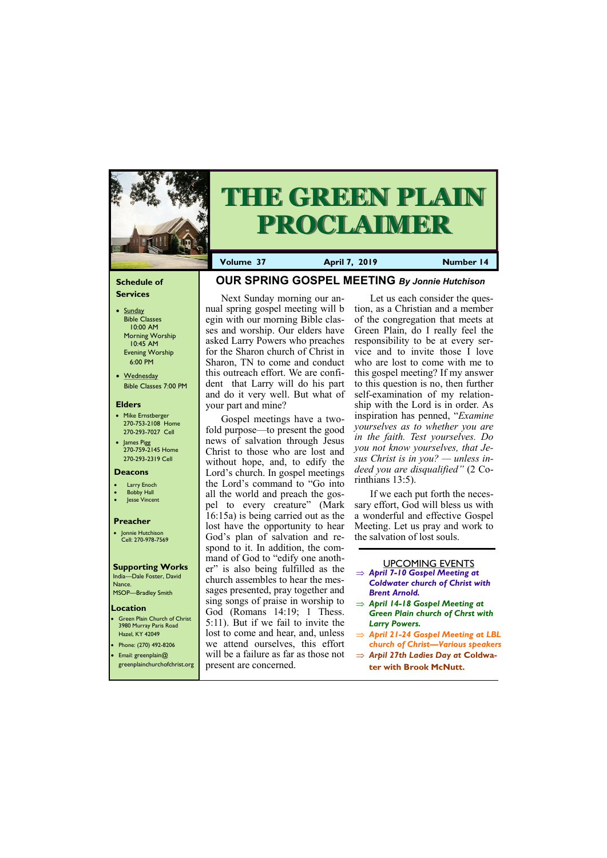#### **Schedule of Services**

- Sunday Bible Classes 10:00 AM Morning Worship 10:45 AM Evening Worship 6:00 PM
- Wednesday Bible Classes 7:00 PM

#### **Elders**

**Green Plain Church of Christ** 3980 Murray Paris Road Hazel, KY 42049 • Phone: (270) 492-8206

- Mike Ernstberger 270-753-2108 Home 270-293-7027 Cell
- James Pigg 270-759-2145 Home 270-293-2319 Cell

- **Larry Enoch**
- **Bobby Hall**
- Jesse Vincent

#### **Location**



# **THE GREEN PLAIN PROCLAIMER**

**Volume 37 April 7, 2019 Mumber 14** 

#### **Deacons**

#### **Preacher**

• Jonnie Hutchison Cell: 270-978-7569

## **Supporting Works**

India—Dale Foster, David Nance. MSOP—Bradley Smith

# **OUR SPRING GOSPEL MEETING** *By Jonnie Hutchison*

Next Sunday morning our annual spring gospel meeting will b egin with our morning Bible classes and worship. Our elders have asked Larry Powers who preaches for the Sharon church of Christ in Sharon, TN to come and conduct this outreach effort. We are confident that Larry will do his part and do it very well. But what of your part and mine?

Gospel meetings have a twofold purpose—to present the good news of salvation through Jesus Christ to those who are lost and without hope, and, to edify the Lord's church. In gospel meetings the Lord's command to "Go into all the world and preach the gospel to every creature" (Mark 16:15a) is being carried out as the lost have the opportunity to hear God's plan of salvation and respond to it. In addition, the command of God to "edify one another" is also being fulfilled as the church assembles to hear the messages presented, pray together and sing songs of praise in worship to God (Romans 14:19; 1 Thess. 5:11). But if we fail to invite the lost to come and hear, and, unless we attend ourselves, this effort

| Email: greenplain $@$ | will be a failure as far as those not                 | $\Rightarrow$ Arpil 27th Ladies Day at Coldwa- |
|-----------------------|-------------------------------------------------------|------------------------------------------------|
|                       | greenplainchurchofchrist.org   present are concerned. | ter with Brook McNutt.                         |

Let us each consider the question, as a Christian and a member of the congregation that meets at Green Plain, do I really feel the responsibility to be at every service and to invite those I love who are lost to come with me to this gospel meeting? If my answer to this question is no, then further self-examination of my relationship with the Lord is in order. As inspiration has penned, "*Examine yourselves as to whether you are in the faith. Test yourselves. Do you not know yourselves, that Jesus Christ is in you? — unless indeed you are disqualified"* (2 Corinthians 13:5).

If we each put forth the necessary effort, God will bless us with a wonderful and effective Gospel Meeting. Let us pray and work to the salvation of lost souls.

#### UPCOMING EVENTS

- *April 7-10 Gospel Meeting at Coldwater church of Christ with Brent Arnold.*
- *April 14-18 Gospel Meeting at Green Plain church of Chrst with Larry Powers.*
- *April 21-24 Gospel Meeting at LBL church of Christ—Various speakers*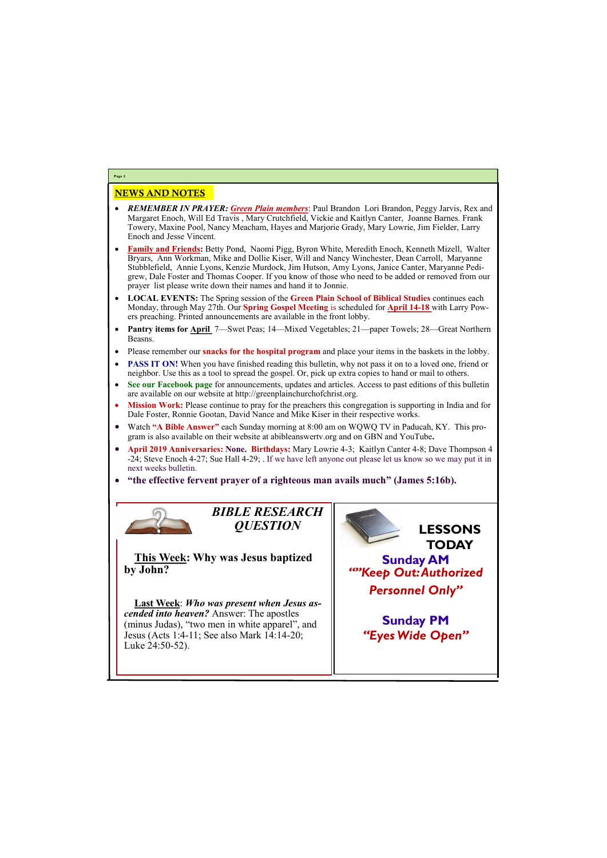## NEWS AND NOTES

- *REMEMBER IN PRAYER: Green Plain members*: Paul Brandon Lori Brandon, Peggy Jarvis, Rex and Margaret Enoch, Will Ed Travis , Mary Crutchfield, Vickie and Kaitlyn Canter, Joanne Barnes. Frank Towery, Maxine Pool, Nancy Meacham, Hayes and Marjorie Grady, Mary Lowrie, Jim Fielder, Larry Enoch and Jesse Vincent.
- **Family and Friends:** Betty Pond, Naomi Pigg, Byron White, Meredith Enoch, Kenneth Mizell, Walter Bryars, Ann Workman, Mike and Dollie Kiser, Will and Nancy Winchester, Dean Carroll, Maryanne Stubblefield, Annie Lyons, Kenzie Murdock, Jim Hutson, Amy Lyons, Janice Canter, Maryanne Pedigrew, Dale Foster and Thomas Cooper. If you know of those who need to be added or removed from our prayer list please write down their names and hand it to Jonnie.
- **LOCAL EVENTS:** The Spring session of the **Green Plain School of Biblical Studies** continues each Monday, through May 27th. Our **Spring Gospel Meeting** is scheduled for **April 14-18** with Larry Powers preaching. Printed announcements are available in the front lobby.
- **Pantry items for April** 7—Swet Peas; 14—Mixed Vegetables; 21—paper Towels; 28—Great Northern Beasns.
- Please remember our **snacks for the hospital program** and place your items in the baskets in the lobby.
- **PASS IT ON!** When you have finished reading this bulletin, why not pass it on to a loved one, friend or neighbor. Use this as a tool to spread the gospel. Or, pick up extra copies to hand or mail to others.
- **See our Facebook page** for announcements, updates and articles. Access to past editions of this bulletin are available on our website at http://greenplainchurchofchrist.org.
- **Mission Work:** Please continue to pray for the preachers this congregation is supporting in India and for Dale Foster, Ronnie Gootan, David Nance and Mike Kiser in their respective works.
- Watch **"A Bible Answer"** each Sunday morning at 8:00 am on WQWQ TV in Paducah, KY. This program is also available on their website at abibleanswertv.org and on GBN and YouTube**.**
- **April 2019 Anniversaries: None. Birthdays:** Mary Lowrie 4-3; Kaitlyn Canter 4-8; Dave Thompson 4 -24; Steve Enoch 4-27; Sue Hall 4-29; . If we have left anyone out please let us know so we may put it in next weeks bulletin.
- **"the effective fervent prayer of a righteous man avails much" (James 5:16b).**



**Page 2**

*BIBLE RESEARCH QUESTION*

**This Week: Why was Jesus baptized by John?**

**Last Week**: *Who was present when Jesus ascended into heaven?* Answer: The apostles (minus Judas), "two men in white apparel", and Jesus (Acts 1:4-11; See also Mark 14:14-20; Luke 24:50-52).



| $\frac{1}{2}$ and $\frac{1}{2}$ ive $\frac{1}{2}$ $\frac{1}{2}$ ive $\frac{1}{2}$ |  |
|-----------------------------------------------------------------------------------|--|
|                                                                                   |  |
|                                                                                   |  |
|                                                                                   |  |
|                                                                                   |  |
|                                                                                   |  |
|                                                                                   |  |
|                                                                                   |  |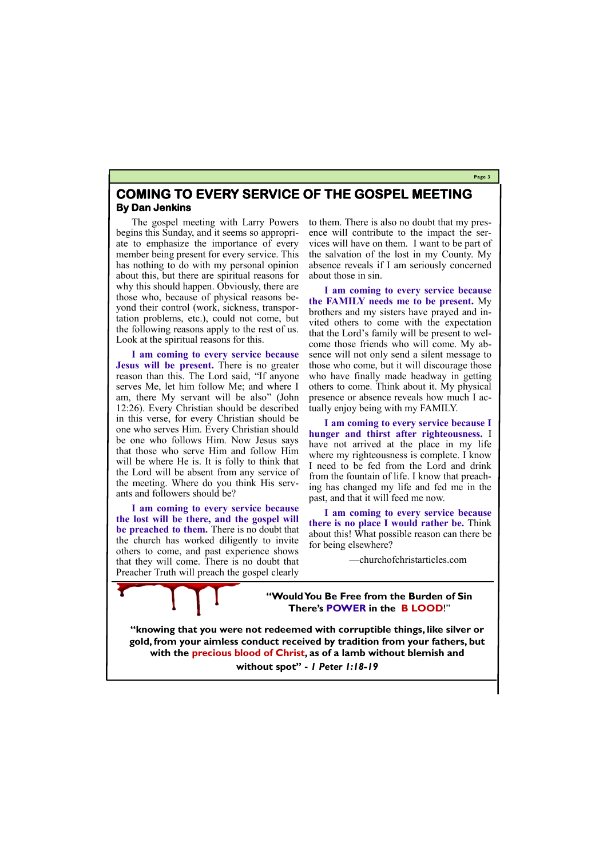**Page 3**

# **COMING TO EVERY SERVICE OF THE GOSPEL MEETING By Dan Jenkins**

The gospel meeting with Larry Powers begins this Sunday, and it seems so appropriate to emphasize the importance of every member being present for every service. This has nothing to do with my personal opinion about this, but there are spiritual reasons for why this should happen. Obviously, there are those who, because of physical reasons beyond their control (work, sickness, transportation problems, etc.), could not come, but the following reasons apply to the rest of us. Look at the spiritual reasons for this.

**I am coming to every service because Jesus will be present.** There is no greater reason than this. The Lord said, "If anyone serves Me, let him follow Me; and where I am, there My servant will be also" (John 12:26). Every Christian should be described in this verse, for every Christian should be one who serves Him. Every Christian should be one who follows Him. Now Jesus says that those who serve Him and follow Him will be where He is. It is folly to think that the Lord will be absent from any service of the meeting. Where do you think His servants and followers should be?

**I am coming to every service because the lost will be there, and the gospel will be preached to them.** There is no doubt that the church has worked diligently to invite others to come, and past experience shows that they will come. There is no doubt that Preacher Truth will preach the gospel clearly to them. There is also no doubt that my presence will contribute to the impact the services will have on them. I want to be part of the salvation of the lost in my County. My absence reveals if I am seriously concerned about those in sin.

**I am coming to every service because the FAMILY needs me to be present.** My brothers and my sisters have prayed and invited others to come with the expectation that the Lord's family will be present to welcome those friends who will come. My absence will not only send a silent message to those who come, but it will discourage those who have finally made headway in getting others to come. Think about it. My physical presence or absence reveals how much I actually enjoy being with my FAMILY.

**I am coming to every service because I hunger and thirst after righteousness.** I have not arrived at the place in my life where my righteousness is complete. I know I need to be fed from the Lord and drink from the fountain of life. I know that preaching has changed my life and fed me in the past, and that it will feed me now.

**I am coming to every service because there is no place I would rather be.** Think about this! What possible reason can there be for being elsewhere?

—churchofchristarticles.com

**"Would You Be Free from the Burden of Sin There's POWER in the B LOOD**!"

**"knowing that you were not redeemed with corruptible things, like silver or gold, from your aimless conduct received by tradition from your fathers, but with the precious blood of Christ, as of a lamb without blemish and without spot" -** *1 Peter 1:18-19*